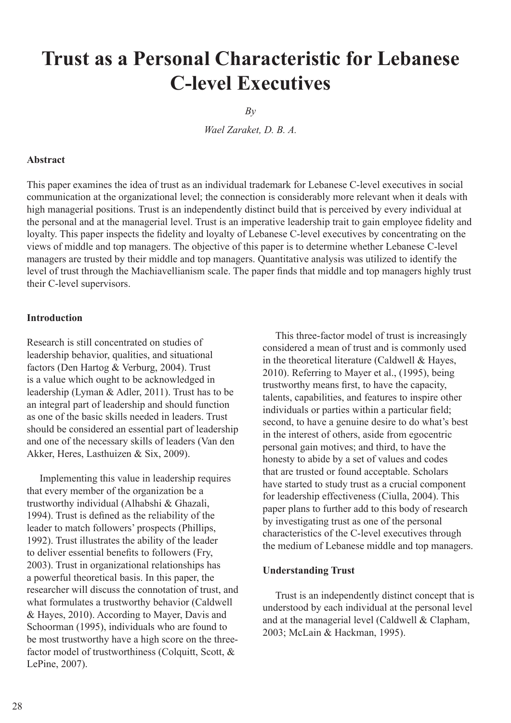# **Trust as a Personal Characteristic for Lebanese C-level Executives**

 $Bv$ 

*Wael Zaraket, D. B. A.*

# **Abstract**

This paper examines the idea of trust as an individual trademark for Lebanese C-level executives in social communication at the organizational level; the connection is considerably more relevant when it deals with high managerial positions. Trust is an independently distinct build that is perceived by every individual at the personal and at the managerial level. Trust is an imperative leadership trait to gain employee fidelity and loyalty. This paper inspects the fidelity and loyalty of Lebanese C-level executives by concentrating on the views of middle and top managers. The objective of this paper is to determine whether Lebanese C-level managers are trusted by their middle and top managers. Quantitative analysis was utilized to identify the level of trust through the Machiavellianism scale. The paper finds that middle and top managers highly trust their C-level supervisors.

#### **Introduction**

Research is still concentrated on studies of leadership behavior, qualities, and situational factors (Den Hartog & Verburg, 2004). Trust is a value which ought to be acknowledged in leadership (Lyman & Adler, 2011). Trust has to be an integral part of leadership and should function as one of the basic skills needed in leaders. Trust should be considered an essential part of leadership and one of the necessary skills of leaders (Van den Akker, Heres, Lasthuizen & Six, 2009).

 Implementing this value in leadership requires that every member of the organization be a trustworthy individual (Alhabshi & Ghazali, 1994). Trust is defined as the reliability of the leader to match followers' prospects (Phillips, 1992). Trust illustrates the ability of the leader to deliver essential benefits to followers (Fry, 2003). Trust in organizational relationships has a powerful theoretical basis. In this paper, the researcher will discuss the connotation of trust, and what formulates a trustworthy behavior (Caldwell & Hayes, 2010). According to Mayer, Davis and Schoorman (1995), individuals who are found to be most trustworthy have a high score on the threefactor model of trustworthiness (Colquitt, Scott, & LePine, 2007).

 This three-factor model of trust is increasingly considered a mean of trust and is commonly used in the theoretical literature (Caldwell & Hayes, 2010). Referring to Mayer et al., (1995), being trustworthy means first, to have the capacity, talents, capabilities, and features to inspire other individuals or parties within a particular field; second, to have a genuine desire to do what's best in the interest of others, aside from egocentric personal gain motives; and third, to have the honesty to abide by a set of values and codes that are trusted or found acceptable. Scholars have started to study trust as a crucial component for leadership effectiveness (Ciulla, 2004). This paper plans to further add to this body of research by investigating trust as one of the personal characteristics of the C-level executives through the medium of Lebanese middle and top managers.

# **Understanding Trust**

 Trust is an independently distinct concept that is understood by each individual at the personal level and at the managerial level (Caldwell & Clapham, 2003; McLain & Hackman, 1995).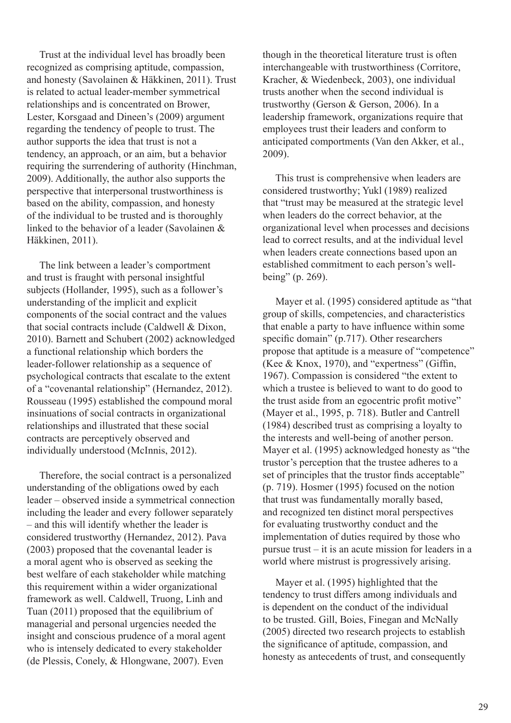Trust at the individual level has broadly been recognized as comprising aptitude, compassion, and honesty (Savolainen & Häkkinen, 2011). Trust is related to actual leader-member symmetrical relationships and is concentrated on Brower, Lester, Korsgaad and Dineen's (2009) argument regarding the tendency of people to trust. The author supports the idea that trust is not a tendency, an approach, or an aim, but a behavior requiring the surrendering of authority (Hinchman, 2009). Additionally, the author also supports the perspective that interpersonal trustworthiness is based on the ability, compassion, and honesty of the individual to be trusted and is thoroughly linked to the behavior of a leader (Savolainen & Häkkinen, 2011).

 The link between a leader's comportment and trust is fraught with personal insightful subjects (Hollander, 1995), such as a follower's understanding of the implicit and explicit components of the social contract and the values that social contracts include (Caldwell & Dixon, 2010). Barnett and Schubert (2002) acknowledged a functional relationship which borders the leader-follower relationship as a sequence of psychological contracts that escalate to the extent of a "covenantal relationship" (Hernandez, 2012). Rousseau (1995) established the compound moral insinuations of social contracts in organizational relationships and illustrated that these social contracts are perceptively observed and individually understood (McInnis, 2012).

 Therefore, the social contract is a personalized understanding of the obligations owed by each leader – observed inside a symmetrical connection including the leader and every follower separately – and this will identify whether the leader is considered trustworthy (Hernandez, 2012). Pava (2003) proposed that the covenantal leader is a moral agent who is observed as seeking the best welfare of each stakeholder while matching this requirement within a wider organizational framework as well. Caldwell, Truong, Linh and Tuan (2011) proposed that the equilibrium of managerial and personal urgencies needed the insight and conscious prudence of a moral agent who is intensely dedicated to every stakeholder (de Plessis, Conely, & Hlongwane, 2007). Even

though in the theoretical literature trust is often interchangeable with trustworthiness (Corritore, Kracher, & Wiedenbeck, 2003), one individual trusts another when the second individual is trustworthy (Gerson & Gerson, 2006). In a leadership framework, organizations require that employees trust their leaders and conform to anticipated comportments (Van den Akker, et al., 2009).

 This trust is comprehensive when leaders are considered trustworthy; Yukl (1989) realized that "trust may be measured at the strategic level when leaders do the correct behavior, at the organizational level when processes and decisions lead to correct results, and at the individual level when leaders create connections based upon an established commitment to each person's wellbeing" (p. 269).

 Mayer et al. (1995) considered aptitude as "that group of skills, competencies, and characteristics that enable a party to have influence within some specific domain" (p.717). Other researchers propose that aptitude is a measure of "competence" (Kee & Knox, 1970), and "expertness" (Giffin, 1967). Compassion is considered "the extent to which a trustee is believed to want to do good to the trust aside from an egocentric profit motive" (Mayer et al., 1995, p. 718). Butler and Cantrell (1984) described trust as comprising a loyalty to the interests and well-being of another person. Mayer et al. (1995) acknowledged honesty as "the trustor's perception that the trustee adheres to a set of principles that the trustor finds acceptable" (p. 719). Hosmer (1995) focused on the notion that trust was fundamentally morally based, and recognized ten distinct moral perspectives for evaluating trustworthy conduct and the implementation of duties required by those who pursue trust – it is an acute mission for leaders in a world where mistrust is progressively arising.

 Mayer et al. (1995) highlighted that the tendency to trust differs among individuals and is dependent on the conduct of the individual to be trusted. Gill, Boies, Finegan and McNally (2005) directed two research projects to establish the significance of aptitude, compassion, and honesty as antecedents of trust, and consequently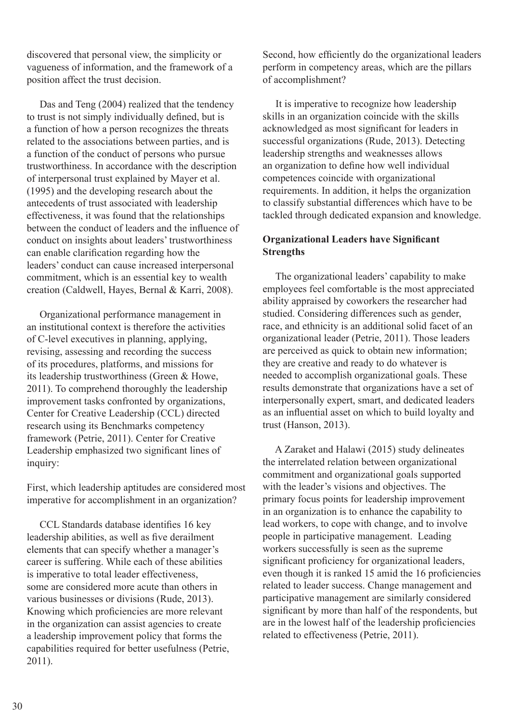discovered that personal view, the simplicity or vagueness of information, and the framework of a position affect the trust decision.

 Das and Teng (2004) realized that the tendency to trust is not simply individually defined, but is a function of how a person recognizes the threats related to the associations between parties, and is a function of the conduct of persons who pursue trustworthiness. In accordance with the description of interpersonal trust explained by Mayer et al. (1995) and the developing research about the antecedents of trust associated with leadership effectiveness, it was found that the relationships between the conduct of leaders and the influence of conduct on insights about leaders' trustworthiness can enable clarification regarding how the leaders' conduct can cause increased interpersonal commitment, which is an essential key to wealth creation (Caldwell, Hayes, Bernal & Karri, 2008).

 Organizational performance management in an institutional context is therefore the activities of C-level executives in planning, applying, revising, assessing and recording the success of its procedures, platforms, and missions for its leadership trustworthiness (Green & Howe, 2011). To comprehend thoroughly the leadership improvement tasks confronted by organizations, Center for Creative Leadership (CCL) directed research using its Benchmarks competency framework (Petrie, 2011). Center for Creative Leadership emphasized two significant lines of inquiry:

First, which leadership aptitudes are considered most imperative for accomplishment in an organization?

 CCL Standards database identifies 16 key leadership abilities, as well as five derailment elements that can specify whether a manager's career is suffering. While each of these abilities is imperative to total leader effectiveness, some are considered more acute than others in various businesses or divisions (Rude, 2013). Knowing which proficiencies are more relevant in the organization can assist agencies to create a leadership improvement policy that forms the capabilities required for better usefulness (Petrie, 2011).

Second, how efficiently do the organizational leaders perform in competency areas, which are the pillars of accomplishment?

 It is imperative to recognize how leadership skills in an organization coincide with the skills acknowledged as most significant for leaders in successful organizations (Rude, 2013). Detecting leadership strengths and weaknesses allows an organization to define how well individual competences coincide with organizational requirements. In addition, it helps the organization to classify substantial differences which have to be tackled through dedicated expansion and knowledge.

# **Organizational Leaders have Significant Strengths**

 The organizational leaders' capability to make employees feel comfortable is the most appreciated ability appraised by coworkers the researcher had studied. Considering differences such as gender, race, and ethnicity is an additional solid facet of an organizational leader (Petrie, 2011). Those leaders are perceived as quick to obtain new information; they are creative and ready to do whatever is needed to accomplish organizational goals. These results demonstrate that organizations have a set of interpersonally expert, smart, and dedicated leaders as an influential asset on which to build loyalty and trust (Hanson, 2013).

 A Zaraket and Halawi (2015) study delineates the interrelated relation between organizational commitment and organizational goals supported with the leader's visions and objectives. The primary focus points for leadership improvement in an organization is to enhance the capability to lead workers, to cope with change, and to involve people in participative management. Leading workers successfully is seen as the supreme significant proficiency for organizational leaders, even though it is ranked 15 amid the 16 proficiencies related to leader success. Change management and participative management are similarly considered significant by more than half of the respondents, but are in the lowest half of the leadership proficiencies related to effectiveness (Petrie, 2011).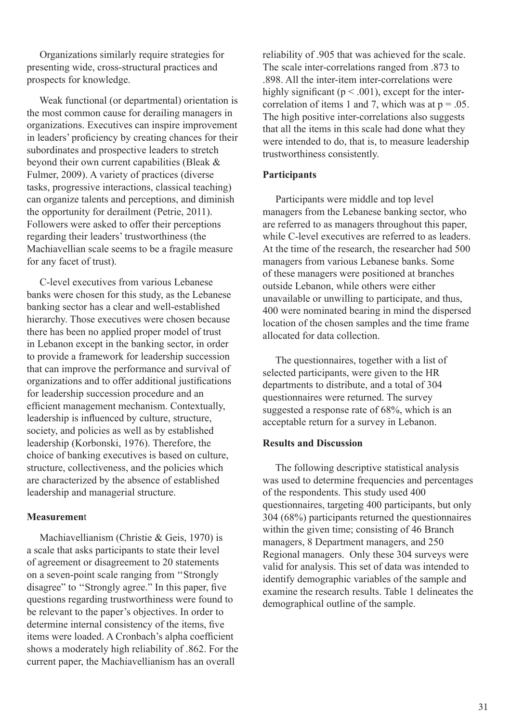Organizations similarly require strategies for presenting wide, cross-structural practices and prospects for knowledge.

 Weak functional (or departmental) orientation is the most common cause for derailing managers in organizations. Executives can inspire improvement in leaders' proficiency by creating chances for their subordinates and prospective leaders to stretch beyond their own current capabilities (Bleak & Fulmer, 2009). A variety of practices (diverse tasks, progressive interactions, classical teaching) can organize talents and perceptions, and diminish the opportunity for derailment (Petrie, 2011). Followers were asked to offer their perceptions regarding their leaders' trustworthiness (the Machiavellian scale seems to be a fragile measure for any facet of trust).

 C-level executives from various Lebanese banks were chosen for this study, as the Lebanese banking sector has a clear and well-established hierarchy. Those executives were chosen because there has been no applied proper model of trust in Lebanon except in the banking sector, in order to provide a framework for leadership succession that can improve the performance and survival of organizations and to offer additional justifications for leadership succession procedure and an efficient management mechanism. Contextually, leadership is influenced by culture, structure, society, and policies as well as by established leadership (Korbonski, 1976). Therefore, the choice of banking executives is based on culture, structure, collectiveness, and the policies which are characterized by the absence of established leadership and managerial structure.

### **Measuremen**t

 Machiavellianism (Christie & Geis, 1970) is a scale that asks participants to state their level of agreement or disagreement to 20 statements on a seven-point scale ranging from ''Strongly disagree" to ''Strongly agree." In this paper, five questions regarding trustworthiness were found to be relevant to the paper's objectives. In order to determine internal consistency of the items, five items were loaded. A Cronbach's alpha coefficient shows a moderately high reliability of .862. For the current paper, the Machiavellianism has an overall

reliability of .905 that was achieved for the scale. The scale inter-correlations ranged from .873 to .898. All the inter-item inter-correlations were highly significant ( $p < .001$ ), except for the intercorrelation of items 1 and 7, which was at  $p = .05$ . The high positive inter-correlations also suggests that all the items in this scale had done what they were intended to do, that is, to measure leadership trustworthiness consistently.

# **Participants**

 Participants were middle and top level managers from the Lebanese banking sector, who are referred to as managers throughout this paper, while C-level executives are referred to as leaders. At the time of the research, the researcher had 500 managers from various Lebanese banks. Some of these managers were positioned at branches outside Lebanon, while others were either unavailable or unwilling to participate, and thus, 400 were nominated bearing in mind the dispersed location of the chosen samples and the time frame allocated for data collection.

 The questionnaires, together with a list of selected participants, were given to the HR departments to distribute, and a total of 304 questionnaires were returned. The survey suggested a response rate of 68%, which is an acceptable return for a survey in Lebanon.

# **Results and Discussion**

 The following descriptive statistical analysis was used to determine frequencies and percentages of the respondents. This study used 400 questionnaires, targeting 400 participants, but only 304 (68%) participants returned the questionnaires within the given time; consisting of 46 Branch managers, 8 Department managers, and 250 Regional managers. Only these 304 surveys were valid for analysis. This set of data was intended to identify demographic variables of the sample and examine the research results. Table 1 delineates the demographical outline of the sample.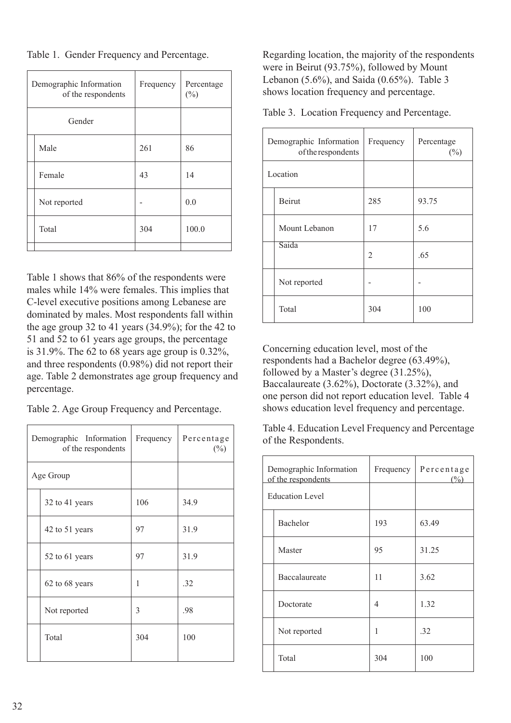Table 1. Gender Frequency and Percentage.

|        | Demographic Information<br>of the respondents | Frequency | Percentage<br>$(\%)$ |  |
|--------|-----------------------------------------------|-----------|----------------------|--|
| Gender |                                               |           |                      |  |
|        | Male                                          | 261       | 86                   |  |
|        | Female                                        | 43        | 14                   |  |
|        | Not reported                                  |           | 0.0                  |  |
|        | Total                                         | 304       | 100.0                |  |
|        |                                               |           |                      |  |

Table 1 shows that 86% of the respondents were males while 14% were females. This implies that C-level executive positions among Lebanese are dominated by males. Most respondents fall within the age group 32 to 41 years (34.9%); for the 42 to 51 and 52 to 61 years age groups, the percentage is 31.9%. The 62 to 68 years age group is 0.32%, and three respondents (0.98%) did not report their age. Table 2 demonstrates age group frequency and percentage.

Table 2. Age Group Frequency and Percentage.

| Demographic Information<br>of the respondents | Frequency | Percentage<br>$(\%)$ |  |
|-----------------------------------------------|-----------|----------------------|--|
| Age Group                                     |           |                      |  |
| 32 to 41 years                                | 106       | 34.9                 |  |
| 42 to 51 years                                | 97        | 31.9                 |  |
| 52 to 61 years                                | 97        | 31.9                 |  |
| 62 to 68 years                                | 1         | .32                  |  |
| Not reported                                  | 3         | .98                  |  |
| Total                                         | 304       | 100                  |  |

Regarding location, the majority of the respondents were in Beirut (93.75%), followed by Mount Lebanon (5.6%), and Saida (0.65%). Table 3 shows location frequency and percentage.

Table 3. Location Frequency and Percentage.

|          | Demographic Information<br>of the respondents | Frequency | Percentage<br>$(\%)$ |  |
|----------|-----------------------------------------------|-----------|----------------------|--|
| Location |                                               |           |                      |  |
|          | Beirut                                        | 285       | 93.75                |  |
|          | Mount Lebanon                                 | 17        | 5.6                  |  |
|          | Saida                                         | 2         | .65                  |  |
|          | Not reported                                  |           |                      |  |
|          | Total                                         | 304       | 100                  |  |

Concerning education level, most of the respondents had a Bachelor degree (63.49%), followed by a Master's degree (31.25%), Baccalaureate (3.62%), Doctorate (3.32%), and one person did not report education level. Table 4 shows education level frequency and percentage.

Table 4. Education Level Frequency and Percentage of the Respondents.

| Demographic Information<br>of the respondents |                 | Frequency | Percentage<br>$\binom{0}{0}$ |  |
|-----------------------------------------------|-----------------|-----------|------------------------------|--|
| Education Level                               |                 |           |                              |  |
|                                               | <b>Bachelor</b> | 193       | 63.49                        |  |
|                                               | Master          | 95        | 31.25                        |  |
|                                               | Baccalaureate   | 11        | 3.62                         |  |
|                                               | Doctorate       | 4         | 1.32                         |  |
|                                               | Not reported    | 1         | .32                          |  |
|                                               | Total           | 304       | 100                          |  |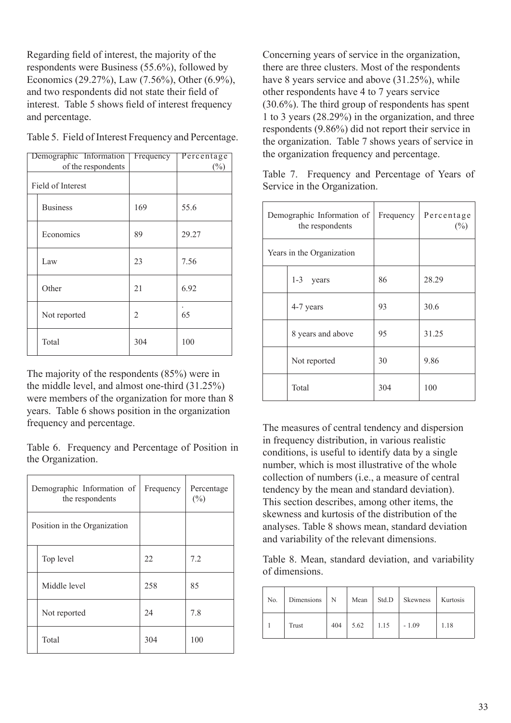Regarding field of interest, the majority of the respondents were Business (55.6%), followed by Economics (29.27%), Law (7.56%), Other (6.9%), and two respondents did not state their field of interest. Table 5 shows field of interest frequency and percentage.

|                   | Demographic Information | Frequency | Percentage |
|-------------------|-------------------------|-----------|------------|
|                   | of the respondents      |           | $(\%)$     |
| Field of Interest |                         |           |            |
|                   | <b>Business</b>         | 169       | 55.6       |
|                   | Economics               | 89        | 29.27      |
|                   | Law                     | 23        | 7.56       |
|                   | Other                   | 21        | 6.92       |
|                   | Not reported            | 2         | 65         |
|                   | Total                   | 304       | 100        |

Table 5. Field of Interest Frequency and Percentage.

The majority of the respondents (85%) were in the middle level, and almost one-third (31.25%) were members of the organization for more than 8 years. Table 6 shows position in the organization frequency and percentage.

Table 6. Frequency and Percentage of Position in the Organization.

| Demographic Information of<br>the respondents | Frequency | Percentage<br>$(\%)$ |  |
|-----------------------------------------------|-----------|----------------------|--|
| Position in the Organization                  |           |                      |  |
| Top level                                     | 22        | 7.2                  |  |
| Middle level                                  | 258       | 85                   |  |
| Not reported                                  | 24        | 7.8                  |  |
| Total                                         | 304       | 100                  |  |

Concerning years of service in the organization, there are three clusters. Most of the respondents have 8 years service and above (31.25%), while other respondents have 4 to 7 years service (30.6%). The third group of respondents has spent 1 to 3 years (28.29%) in the organization, and three respondents (9.86%) did not report their service in the organization. Table 7 shows years of service in the organization frequency and percentage.

Table 7. Frequency and Percentage of Years of Service in the Organization.

|                           | Demographic Information of<br>the respondents | Frequency | Percentage<br>$(\%)$ |  |
|---------------------------|-----------------------------------------------|-----------|----------------------|--|
| Years in the Organization |                                               |           |                      |  |
|                           | $1 - 3$<br>years                              | 86        | 28.29                |  |
| 4-7 years                 |                                               | 93        | 30.6                 |  |
|                           | 8 years and above                             | 95        | 31.25                |  |
|                           | Not reported                                  | 30        | 9.86                 |  |
|                           | Total                                         | 304       | 100                  |  |

The measures of central tendency and dispersion in frequency distribution, in various realistic conditions, is useful to identify data by a single number, which is most illustrative of the whole collection of numbers (i.e., a measure of central tendency by the mean and standard deviation). This section describes, among other items, the skewness and kurtosis of the distribution of the analyses. Table 8 shows mean, standard deviation and variability of the relevant dimensions.

Table 8. Mean, standard deviation, and variability of dimensions.

| No. | Dimensions | N   | Mean | Std.D | Skewness | Kurtosis |
|-----|------------|-----|------|-------|----------|----------|
|     | Trust      | 404 | 5.62 | 1.15  | $-1.09$  | 1.18     |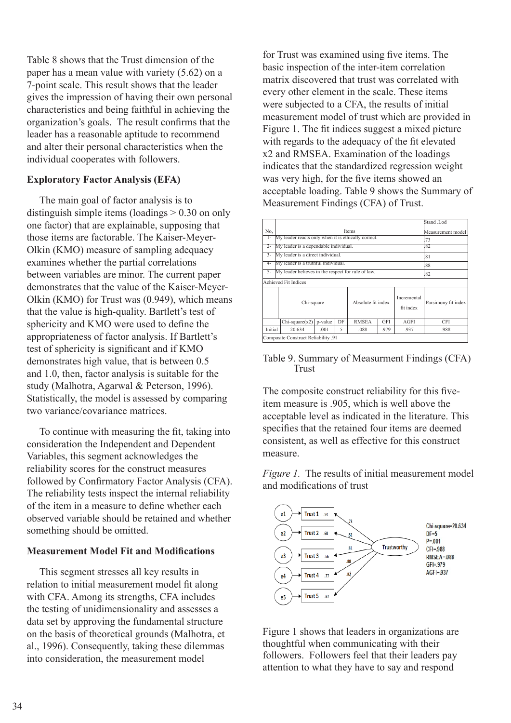Table 8 shows that the Trust dimension of the paper has a mean value with variety (5.62) on a 7-point scale. This result shows that the leader gives the impression of having their own personal characteristics and being faithful in achieving the organization's goals. The result confirms that the leader has a reasonable aptitude to recommend and alter their personal characteristics when the individual cooperates with followers.

# **Exploratory Factor Analysis (EFA)**

 The main goal of factor analysis is to distinguish simple items (loadings > 0.30 on only one factor) that are explainable, supposing that those items are factorable. The Kaiser-Meyer-Olkin (KMO) measure of sampling adequacy examines whether the partial correlations between variables are minor. The current paper demonstrates that the value of the Kaiser-Meyer-Olkin (KMO) for Trust was (0.949), which means that the value is high-quality. Bartlett's test of sphericity and KMO were used to define the appropriateness of factor analysis. If Bartlett's test of sphericity is significant and if KMO demonstrates high value, that is between 0.5 and 1.0, then, factor analysis is suitable for the study (Malhotra, Agarwal & Peterson, 1996). Statistically, the model is assessed by comparing two variance/covariance matrices.

 To continue with measuring the fit, taking into consideration the Independent and Dependent Variables, this segment acknowledges the reliability scores for the construct measures followed by Confirmatory Factor Analysis (CFA). The reliability tests inspect the internal reliability of the item in a measure to define whether each observed variable should be retained and whether something should be omitted.

# **Measurement Model Fit and Modifications**

 This segment stresses all key results in relation to initial measurement model fit along with CFA. Among its strengths, CFA includes the testing of unidimensionality and assesses a data set by approving the fundamental structure on the basis of theoretical grounds (Malhotra, et al., 1996). Consequently, taking these dilemmas into consideration, the measurement model

for Trust was examined using five items. The basic inspection of the inter-item correlation matrix discovered that trust was correlated with every other element in the scale. These items were subjected to a CFA, the results of initial measurement model of trust which are provided in Figure 1. The fit indices suggest a mixed picture with regards to the adequacy of the fit elevated x2 and RMSEA. Examination of the loadings indicates that the standardized regression weight was very high, for the five items showed an acceptable loading. Table 9 shows the Summary of Measurement Findings (CFA) of Trust.

|                  |                                                     |                     |     |              |            |      | Stand Lod |
|------------------|-----------------------------------------------------|---------------------|-----|--------------|------------|------|-----------|
| No.              |                                                     | Measurement model   |     |              |            |      |           |
| $1-$             | My leader reacts only when it is ethically correct. | .73                 |     |              |            |      |           |
| $2 -$            | My leader is a dependable individual.               | .82                 |     |              |            |      |           |
| $\overline{3}$ - | My leader is a direct individual.                   |                     |     |              |            |      | .81       |
| 4-               | My leader is a truthful individual.                 |                     |     |              |            |      | .88       |
| $5 -$            | My leader believes in the respect for rule of law.  |                     | .82 |              |            |      |           |
|                  | <b>Achieved Fit Indices</b>                         |                     |     |              |            |      |           |
|                  | Chi-square                                          | Parsimony fit index |     |              |            |      |           |
|                  | $Chi-square(x2)$                                    | p-value             | DF  | <b>RMSEA</b> | <b>GFI</b> | AGFI | CFI       |
| Initial          | 20.634                                              | .001                | 5   | .088         | .979       | .937 | .988      |
|                  | Composite Construct Reliability .91                 |                     |     |              |            |      |           |

Table 9. Summary of Measurment Findings (CFA) Trust

The composite construct reliability for this fiveitem measure is .905, which is well above the acceptable level as indicated in the literature. This specifies that the retained four items are deemed consistent, as well as effective for this construct measure.

*Figure 1.* The results of initial measurement model and modifications of trust



Figure 1 shows that leaders in organizations are thoughtful when communicating with their followers. Followers feel that their leaders pay attention to what they have to say and respond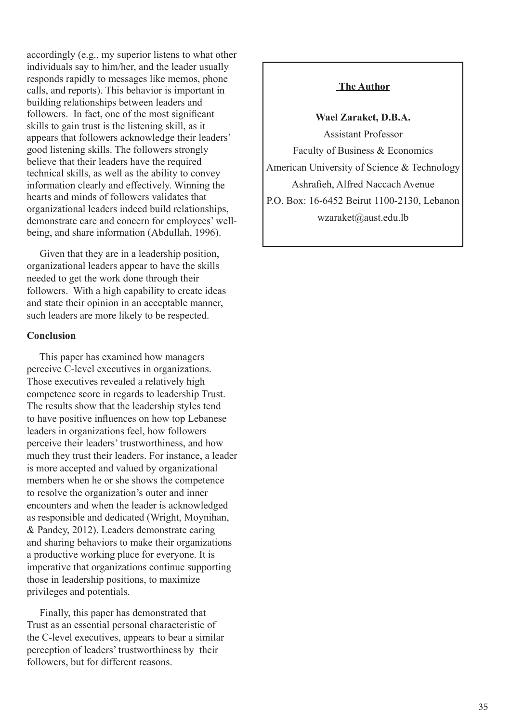accordingly (e.g., my superior listens to what other individuals say to him/her, and the leader usually responds rapidly to messages like memos, phone calls, and reports). This behavior is important in building relationships between leaders and followers. In fact, one of the most significant skills to gain trust is the listening skill, as it appears that followers acknowledge their leaders' good listening skills. The followers strongly believe that their leaders have the required technical skills, as well as the ability to convey information clearly and effectively. Winning the hearts and minds of followers validates that organizational leaders indeed build relationships, demonstrate care and concern for employees' wellbeing, and share information (Abdullah, 1996).

 Given that they are in a leadership position, organizational leaders appear to have the skills needed to get the work done through their followers. With a high capability to create ideas and state their opinion in an acceptable manner, such leaders are more likely to be respected.

# **Conclusion**

 This paper has examined how managers perceive C-level executives in organizations. Those executives revealed a relatively high competence score in regards to leadership Trust. The results show that the leadership styles tend to have positive influences on how top Lebanese leaders in organizations feel, how followers perceive their leaders' trustworthiness, and how much they trust their leaders. For instance, a leader is more accepted and valued by organizational members when he or she shows the competence to resolve the organization's outer and inner encounters and when the leader is acknowledged as responsible and dedicated (Wright, Moynihan, & Pandey, 2012). Leaders demonstrate caring and sharing behaviors to make their organizations a productive working place for everyone. It is imperative that organizations continue supporting those in leadership positions, to maximize privileges and potentials.

 Finally, this paper has demonstrated that Trust as an essential personal characteristic of the C-level executives, appears to bear a similar perception of leaders' trustworthiness by their followers, but for different reasons.

# **The Author**

**Wael Zaraket, D.B.A.**

Assistant Professor Faculty of Business & Economics American University of Science & Technology Ashrafieh, Alfred Naccach Avenue P.O. Box: 16-6452 Beirut 1100-2130, Lebanon wzaraket@aust.edu.lb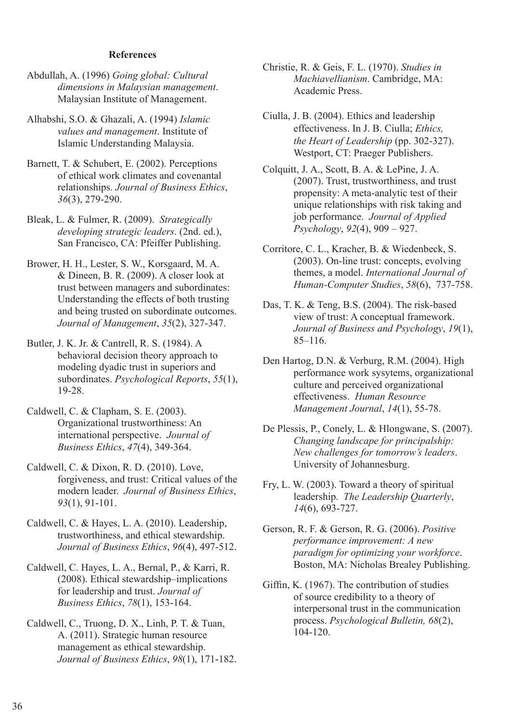#### **References**

- Abdullah, A. (1996) *Going global: Cultural dimensions in Malaysian management*. Malaysian Institute of Management.
- Alhabshi, S.O. & Ghazali, A. (1994) *Islamic values and management*. Institute of Islamic Understanding Malaysia.
- Barnett, T. & Schubert, E. (2002). Perceptions of ethical work climates and covenantal relationships. *Journal of Business Ethics*, *36*(3), 279-290.
- Bleak, L. & Fulmer, R. (2009). *Strategically developing strategic leaders*. (2nd. ed.), San Francisco, CA: Pfeiffer Publishing.
- Brower, H. H., Lester, S. W., Korsgaard, M. A. & Dineen, B. R. (2009). A closer look at trust between managers and subordinates: Understanding the effects of both trusting and being trusted on subordinate outcomes. *Journal of Management*, *35*(2), 327-347.
- Butler, J. K. Jr. & Cantrell, R. S. (1984). A behavioral decision theory approach to modeling dyadic trust in superiors and subordinates. *Psychological Reports*, *55*(1), 19-28.
- Caldwell, C. & Clapham, S. E. (2003). Organizational trustworthiness: An international perspective. *Journal of Business Ethics*, *47*(4), 349-364.
- Caldwell, C. & Dixon, R. D. (2010). Love, forgiveness, and trust: Critical values of the modern leader. *Journal of Business Ethics*, *93*(1), 91-101.
- Caldwell, C. & Hayes, L. A. (2010). Leadership, trustworthiness, and ethical stewardship. *Journal of Business Ethics*, *96*(4), 497-512.
- Caldwell, C. Hayes, L. A., Bernal, P., & Karri, R. (2008). Ethical stewardship–implications for leadership and trust. *Journal of Business Ethics*, *78*(1), 153-164.
- Caldwell, C., Truong, D. X., Linh, P. T. & Tuan, A. (2011). Strategic human resource management as ethical stewardship. *Journal of Business Ethics*, *98*(1), 171-182.
- Christie, R. & Geis, F. L. (1970). *Studies in Machiavellianism*. Cambridge, MA: Academic Press.
- Ciulla, J. B. (2004). Ethics and leadership effectiveness. In J. B. Ciulla; *Ethics, the Heart of Leadership* (pp. 302-327). Westport, CT: Praeger Publishers.
- Colquitt, J. A., Scott, B. A. & LePine, J. A. (2007). Trust, trustworthiness, and trust propensity: A meta-analytic test of their unique relationships with risk taking and job performance. *Journal of Applied Psychology*, *92*(4), 909 – 927.
- Corritore, C. L., Kracher, B. & Wiedenbeck, S. (2003). On-line trust: concepts, evolving themes, a model. *International Journal of Human-Computer Studies*, *58*(6), 737-758.
- Das, T. K. & Teng, B.S. (2004). The risk-based view of trust: A conceptual framework. *Journal of Business and Psychology*, *19*(1), 85–116.
- Den Hartog, D.N. & Verburg, R.M. (2004). High performance work sysytems, organizational culture and perceived organizational effectiveness. *Human Resource Management Journal*, *14*(1), 55-78.
- De Plessis, P., Conely, L. & Hlongwane, S. (2007). *Changing landscape for principalship: New challenges for tomorrow's leaders*. University of Johannesburg.
- Fry, L. W. (2003). Toward a theory of spiritual leadership. *The Leadership Quarterly*, *14*(6), 693-727.
- Gerson, R. F. & Gerson, R. G. (2006). *Positive performance improvement: A new paradigm for optimizing your workforce*. Boston, MA: Nicholas Brealey Publishing.
- Giffin, K. (1967). The contribution of studies of source credibility to a theory of interpersonal trust in the communication process. *Psychological Bulletin, 68*(2), 104-120.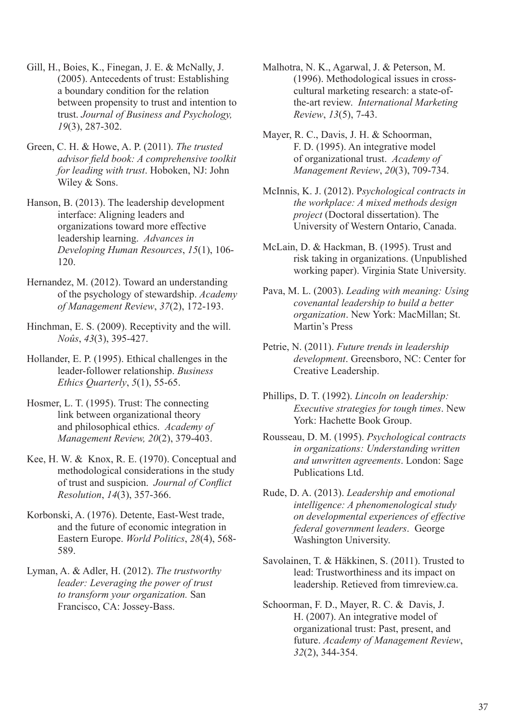- Gill, H., Boies, K., Finegan, J. E. & McNally, J. (2005). Antecedents of trust: Establishing a boundary condition for the relation between propensity to trust and intention to trust. *Journal of Business and Psychology, 19*(3), 287-302.
- Green, C. H. & Howe, A. P. (2011). *The trusted advisor field book: A comprehensive toolkit for leading with trust*. Hoboken, NJ: John Wiley & Sons.
- Hanson, B. (2013). The leadership development interface: Aligning leaders and organizations toward more effective leadership learning. *Advances in Developing Human Resources*, *15*(1), 106- 120.
- Hernandez, M. (2012). Toward an understanding of the psychology of stewardship. *Academy of Management Review*, *37*(2), 172-193.
- Hinchman, E. S. (2009). Receptivity and the will. *Noûs*, *43*(3), 395-427.
- Hollander, E. P. (1995). Ethical challenges in the leader-follower relationship. *Business Ethics Quarterly*, *5*(1), 55-65.
- Hosmer, L. T. (1995). Trust: The connecting link between organizational theory and philosophical ethics. *Academy of Management Review, 20*(2), 379-403.
- Kee, H. W. & Knox, R. E. (1970). Conceptual and methodological considerations in the study of trust and suspicion. *Journal of Conflict Resolution*, *14*(3), 357-366.
- Korbonski, A. (1976). Detente, East-West trade, and the future of economic integration in Eastern Europe. *World Politics*, *28*(4), 568- 589.
- Lyman, A. & Adler, H. (2012). *The trustworthy leader: Leveraging the power of trust to transform your organization.* San Francisco, CA: Jossey-Bass.
- Malhotra, N. K., Agarwal, J. & Peterson, M. (1996). Methodological issues in crosscultural marketing research: a state-ofthe-art review. *International Marketing Review*, *13*(5), 7-43.
- Mayer, R. C., Davis, J. H. & Schoorman, F. D. (1995). An integrative model of organizational trust. *Academy of Management Review*, *20*(3), 709-734.
- McInnis, K. J. (2012). P*sychological contracts in the workplace: A mixed methods design project* (Doctoral dissertation). The University of Western Ontario, Canada.
- McLain, D. & Hackman, B. (1995). Trust and risk taking in organizations. (Unpublished working paper). Virginia State University.
- Pava, M. L. (2003). *Leading with meaning: Using covenantal leadership to build a better organization*. New York: MacMillan; St. Martin's Press
- Petrie, N. (2011). *Future trends in leadership development*. Greensboro, NC: Center for Creative Leadership.
- Phillips, D. T. (1992). *Lincoln on leadership: Executive strategies for tough times*. New York: Hachette Book Group.
- Rousseau, D. M. (1995). *Psychological contracts in organizations: Understanding written and unwritten agreements*. London: Sage Publications Ltd.
- Rude, D. A. (2013). *Leadership and emotional intelligence: A phenomenological study on developmental experiences of effective federal government leaders*. George Washington University.
- Savolainen, T. & Häkkinen, S. (2011). Trusted to lead: Trustworthiness and its impact on leadership. Retieved from timreview.ca.
- Schoorman, F. D., Mayer, R. C. & Davis, J. H. (2007). An integrative model of organizational trust: Past, present, and future. *Academy of Management Review*, *32*(2), 344-354.